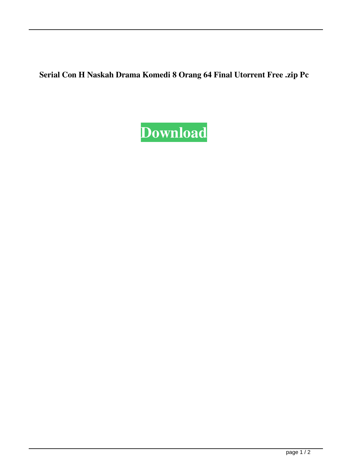**Serial Con H Naskah Drama Komedi 8 Orang 64 Final Utorrent Free .zip Pc**